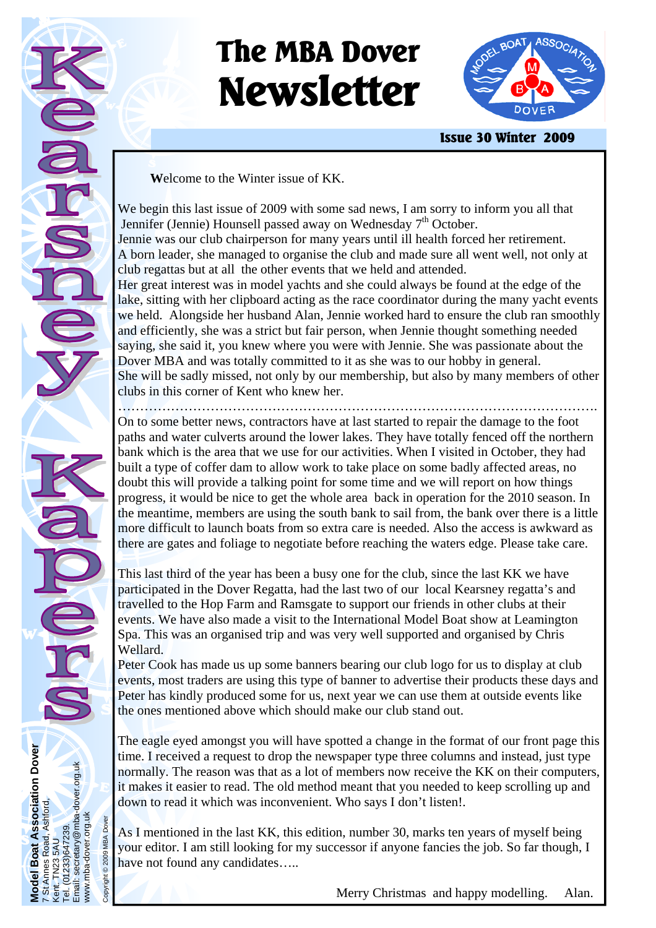# **The MBA Dover Newsletter**



**Issue 30 Winter 2009** 

**<sup>W</sup>**elcome to the Winter issue of KK.

We begin this last issue of 2009 with some sad news, I am sorry to inform you all that Jennifer (Jennie) Hounsell passed away on Wednesday  $7<sup>th</sup>$  October. Jennie was our club chairperson for many years until ill health forced her retirement. A born leader, she managed to organise the club and made sure all went well, not only at club regattas but at all the other events that we held and attended. Her great interest was in model yachts and she could always be found at the edge of the lake, sitting with her clipboard acting as the race coordinator during the many yacht events we held. Alongside her husband Alan, Jennie worked hard to ensure the club ran smoothly and efficiently, she was a strict but fair person, when Jennie thought something needed saying, she said it, you knew where you were with Jennie. She was passionate about the Dover MBA and was totally committed to it as she was to our hobby in general. She will be sadly missed, not only by our membership, but also by many members of other clubs in this corner of Kent who knew her.

On to some better news, contractors have at last started to repair the damage to the foot paths and water culverts around the lower lakes. They have totally fenced off the northern bank which is the area that we use for our activities. When I visited in October, they had built a type of coffer dam to allow work to take place on some badly affected areas, no doubt this will provide a talking point for some time and we will report on how things progress, it would be nice to get the whole area back in operation for the 2010 season. In the meantime, members are using the south bank to sail from, the bank over there is a little more difficult to launch boats from so extra care is needed. Also the access is awkward as there are gates and foliage to negotiate before reaching the waters edge. Please take care.

This last third of the year has been a busy one for the club, since the last KK we have participated in the Dover Regatta, had the last two of our local Kearsney regatta's and travelled to the Hop Farm and Ramsgate to support our friends in other clubs at their events. We have also made a visit to the International Model Boat show at Leamington Spa. This was an organised trip and was very well supported and organised by Chris Wellard.

Peter Cook has made us up some banners bearing our club logo for us to display at club events, most traders are using this type of banner to advertise their products these days and Peter has kindly produced some for us, next year we can use them at outside events like the ones mentioned above which should make our club stand out.

The eagle eyed amongst you will have spotted a change in the format of our front page this time. I received a request to drop the newspaper type three columns and instead, just type normally. The reason was that as a lot of members now receive the KK on their computers, it makes it easier to read. The old method meant that you needed to keep scrolling up and down to read it which was inconvenient. Who says I don't listen!.

As I mentioned in the last KK, this edition, number 30, marks ten years of myself being your editor. I am still looking for my successor if anyone fancies the job. So far though, I have not found any candidates.....

**Model Boat Association Dover** 

7 St Annes Road, Ashford,

Model Boat Association Dover<br>7 St Annes Road, Ashford,<br>Kent. TN23 5AU

Kent. TN23 5AU Tel. (01233)647239.

 $\overline{O}$ Email:

Email: secretary@mba-dover.org.uk

1233)647239.<br>secretary@mba-dover.org.uk

www.mba-dover.org.uk Copyright © 2009 MBA Dover

ww.mba-dover.org.uk ight © 2009 MBA Dover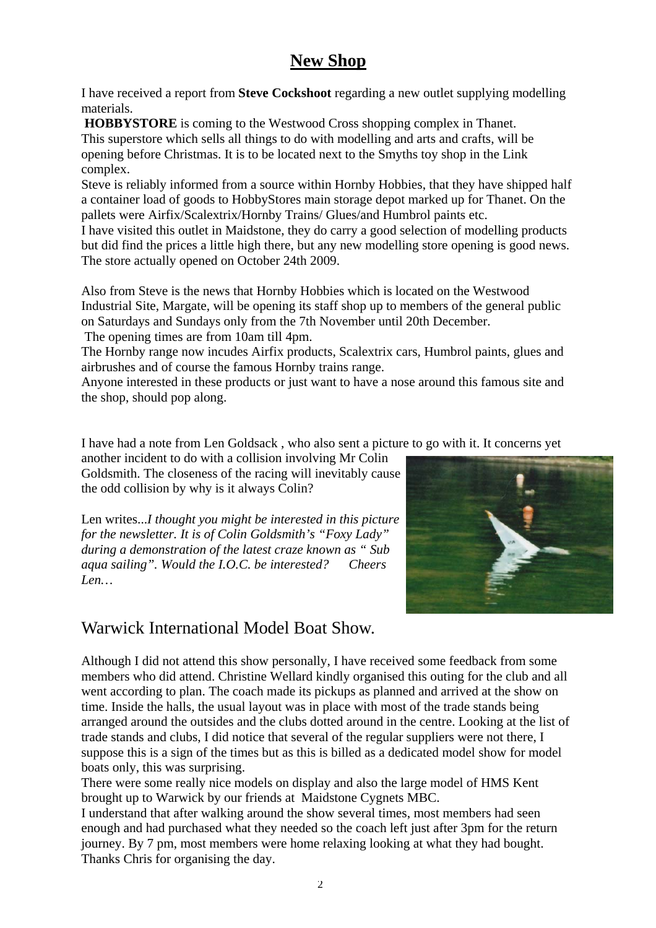# **New Shop**

I have received a report from **Steve Cockshoot** regarding a new outlet supplying modelling materials.

**HOBBYSTORE** is coming to the Westwood Cross shopping complex in Thanet. This superstore which sells all things to do with modelling and arts and crafts, will be opening before Christmas. It is to be located next to the Smyths toy shop in the Link complex.

Steve is reliably informed from a source within Hornby Hobbies, that they have shipped half a container load of goods to HobbyStores main storage depot marked up for Thanet. On the pallets were Airfix/Scalextrix/Hornby Trains/ Glues/and Humbrol paints etc.

I have visited this outlet in Maidstone, they do carry a good selection of modelling products but did find the prices a little high there, but any new modelling store opening is good news. The store actually opened on October 24th 2009.

Also from Steve is the news that Hornby Hobbies which is located on the Westwood Industrial Site, Margate, will be opening its staff shop up to members of the general public on Saturdays and Sundays only from the 7th November until 20th December.

The opening times are from 10am till 4pm.

The Hornby range now incudes Airfix products, Scalextrix cars, Humbrol paints, glues and airbrushes and of course the famous Hornby trains range.

Anyone interested in these products or just want to have a nose around this famous site and the shop, should pop along.

I have had a note from Len Goldsack , who also sent a picture to go with it. It concerns yet

another incident to do with a collision involving Mr Colin Goldsmith. The closeness of the racing will inevitably cause the odd collision by why is it always Colin?

Len writes...*I thought you might be interested in this picture for the newsletter. It is of Colin Goldsmith's "Foxy Lady" during a demonstration of the latest craze known as " Sub aqua sailing". Would the I.O.C. be interested? Cheers Len…* 



# Warwick International Model Boat Show.

Although I did not attend this show personally, I have received some feedback from some members who did attend. Christine Wellard kindly organised this outing for the club and all went according to plan. The coach made its pickups as planned and arrived at the show on time. Inside the halls, the usual layout was in place with most of the trade stands being arranged around the outsides and the clubs dotted around in the centre. Looking at the list of trade stands and clubs, I did notice that several of the regular suppliers were not there, I suppose this is a sign of the times but as this is billed as a dedicated model show for model boats only, this was surprising.

There were some really nice models on display and also the large model of HMS Kent brought up to Warwick by our friends at Maidstone Cygnets MBC.

I understand that after walking around the show several times, most members had seen enough and had purchased what they needed so the coach left just after 3pm for the return journey. By 7 pm, most members were home relaxing looking at what they had bought. Thanks Chris for organising the day.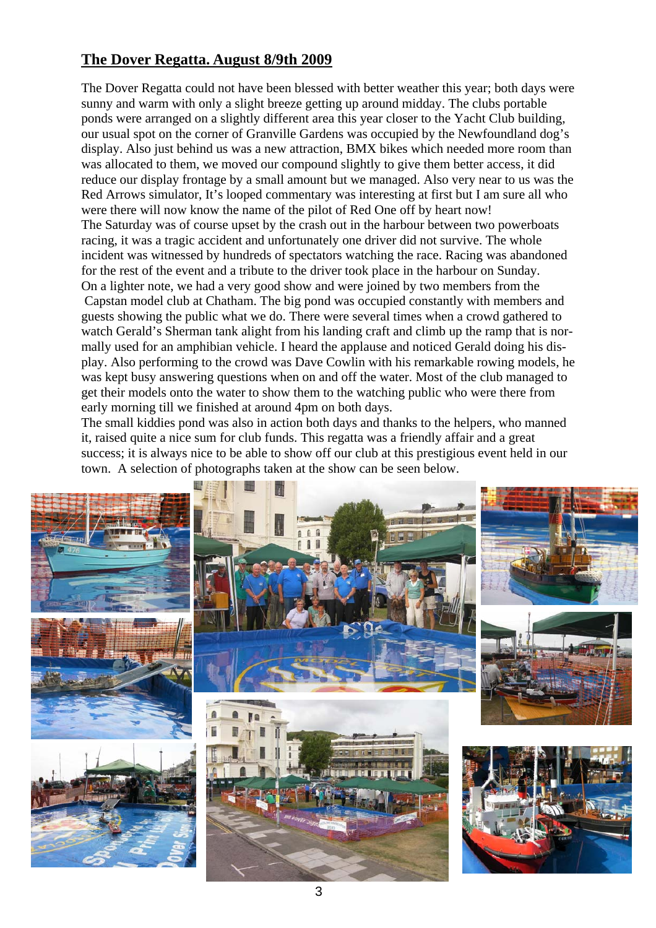## **The Dover Regatta. August 8/9th 2009**

The Dover Regatta could not have been blessed with better weather this year; both days were sunny and warm with only a slight breeze getting up around midday. The clubs portable ponds were arranged on a slightly different area this year closer to the Yacht Club building, our usual spot on the corner of Granville Gardens was occupied by the Newfoundland dog's display. Also just behind us was a new attraction, BMX bikes which needed more room than was allocated to them, we moved our compound slightly to give them better access, it did reduce our display frontage by a small amount but we managed. Also very near to us was the Red Arrows simulator, It's looped commentary was interesting at first but I am sure all who were there will now know the name of the pilot of Red One off by heart now! The Saturday was of course upset by the crash out in the harbour between two powerboats racing, it was a tragic accident and unfortunately one driver did not survive. The whole incident was witnessed by hundreds of spectators watching the race. Racing was abandoned for the rest of the event and a tribute to the driver took place in the harbour on Sunday. On a lighter note, we had a very good show and were joined by two members from the Capstan model club at Chatham. The big pond was occupied constantly with members and guests showing the public what we do. There were several times when a crowd gathered to watch Gerald's Sherman tank alight from his landing craft and climb up the ramp that is normally used for an amphibian vehicle. I heard the applause and noticed Gerald doing his display. Also performing to the crowd was Dave Cowlin with his remarkable rowing models, he was kept busy answering questions when on and off the water. Most of the club managed to get their models onto the water to show them to the watching public who were there from early morning till we finished at around 4pm on both days.

The small kiddies pond was also in action both days and thanks to the helpers, who manned it, raised quite a nice sum for club funds. This regatta was a friendly affair and a great success; it is always nice to be able to show off our club at this prestigious event held in our town. A selection of photographs taken at the show can be seen below.

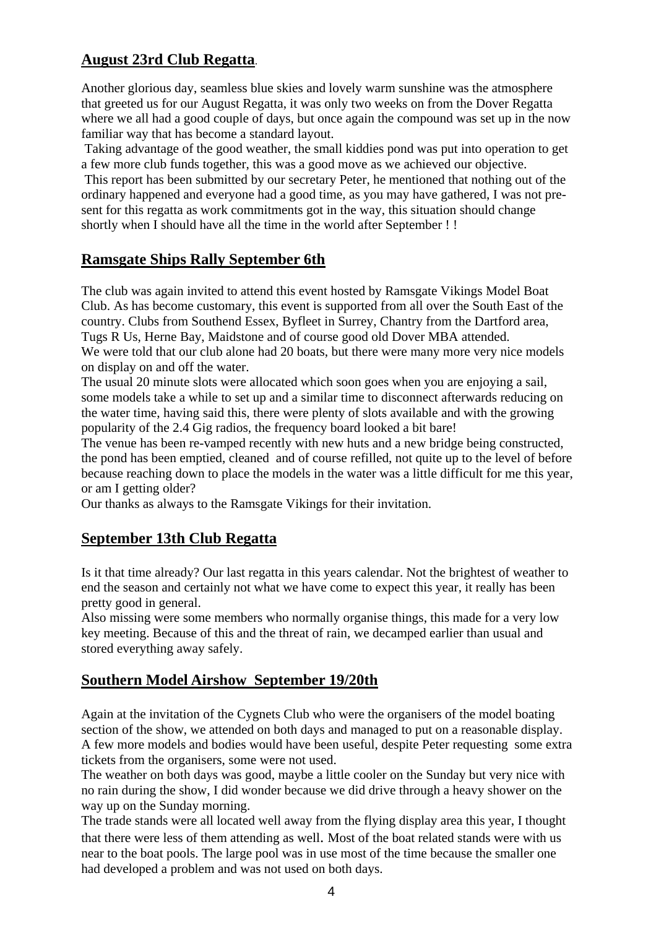## **August 23rd Club Regatta**.

Another glorious day, seamless blue skies and lovely warm sunshine was the atmosphere that greeted us for our August Regatta, it was only two weeks on from the Dover Regatta where we all had a good couple of days, but once again the compound was set up in the now familiar way that has become a standard layout.

 Taking advantage of the good weather, the small kiddies pond was put into operation to get a few more club funds together, this was a good move as we achieved our objective.

 This report has been submitted by our secretary Peter, he mentioned that nothing out of the ordinary happened and everyone had a good time, as you may have gathered, I was not present for this regatta as work commitments got in the way, this situation should change shortly when I should have all the time in the world after September ! !

#### **Ramsgate Ships Rally September 6th**

The club was again invited to attend this event hosted by Ramsgate Vikings Model Boat Club. As has become customary, this event is supported from all over the South East of the country. Clubs from Southend Essex, Byfleet in Surrey, Chantry from the Dartford area, Tugs R Us, Herne Bay, Maidstone and of course good old Dover MBA attended. We were told that our club alone had 20 boats, but there were many more very nice models on display on and off the water.

The usual 20 minute slots were allocated which soon goes when you are enjoying a sail, some models take a while to set up and a similar time to disconnect afterwards reducing on the water time, having said this, there were plenty of slots available and with the growing popularity of the 2.4 Gig radios, the frequency board looked a bit bare!

The venue has been re-vamped recently with new huts and a new bridge being constructed, the pond has been emptied, cleaned and of course refilled, not quite up to the level of before because reaching down to place the models in the water was a little difficult for me this year, or am I getting older?

Our thanks as always to the Ramsgate Vikings for their invitation.

#### **September 13th Club Regatta**

Is it that time already? Our last regatta in this years calendar. Not the brightest of weather to end the season and certainly not what we have come to expect this year, it really has been pretty good in general.

Also missing were some members who normally organise things, this made for a very low key meeting. Because of this and the threat of rain, we decamped earlier than usual and stored everything away safely.

#### **Southern Model Airshow September 19/20th**

Again at the invitation of the Cygnets Club who were the organisers of the model boating section of the show, we attended on both days and managed to put on a reasonable display. A few more models and bodies would have been useful, despite Peter requesting some extra tickets from the organisers, some were not used.

The weather on both days was good, maybe a little cooler on the Sunday but very nice with no rain during the show, I did wonder because we did drive through a heavy shower on the way up on the Sunday morning.

The trade stands were all located well away from the flying display area this year, I thought that there were less of them attending as well. Most of the boat related stands were with us near to the boat pools. The large pool was in use most of the time because the smaller one had developed a problem and was not used on both days.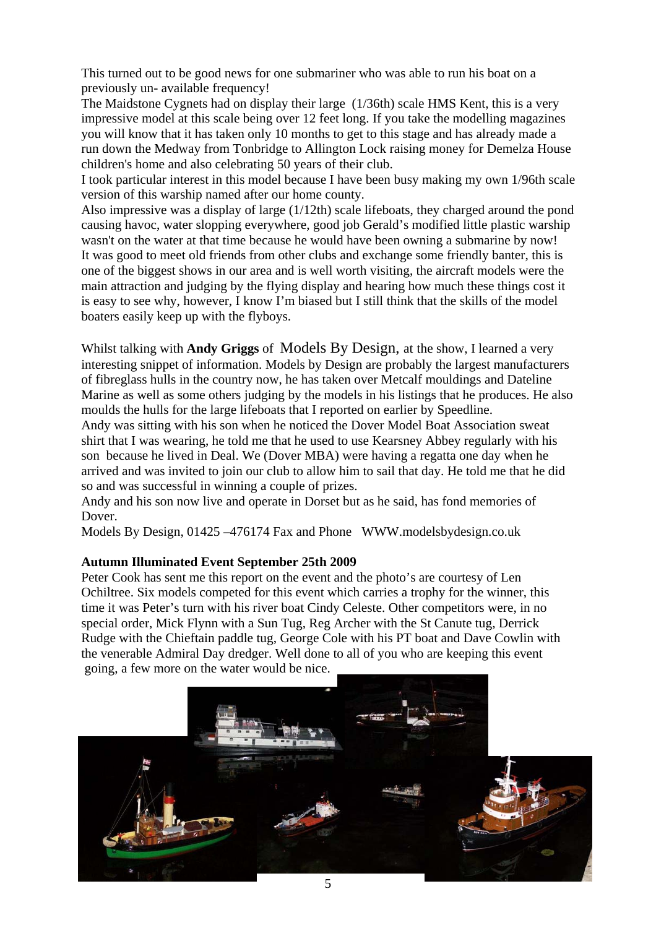This turned out to be good news for one submariner who was able to run his boat on a previously un- available frequency!

The Maidstone Cygnets had on display their large (1/36th) scale HMS Kent, this is a very impressive model at this scale being over 12 feet long. If you take the modelling magazines you will know that it has taken only 10 months to get to this stage and has already made a run down the Medway from Tonbridge to Allington Lock raising money for Demelza House children's home and also celebrating 50 years of their club.

I took particular interest in this model because I have been busy making my own 1/96th scale version of this warship named after our home county.

Also impressive was a display of large (1/12th) scale lifeboats, they charged around the pond causing havoc, water slopping everywhere, good job Gerald's modified little plastic warship wasn't on the water at that time because he would have been owning a submarine by now! It was good to meet old friends from other clubs and exchange some friendly banter, this is one of the biggest shows in our area and is well worth visiting, the aircraft models were the main attraction and judging by the flying display and hearing how much these things cost it is easy to see why, however, I know I'm biased but I still think that the skills of the model boaters easily keep up with the flyboys.

Whilst talking with **Andy Griggs** of Models By Design, at the show, I learned a very interesting snippet of information. Models by Design are probably the largest manufacturers of fibreglass hulls in the country now, he has taken over Metcalf mouldings and Dateline Marine as well as some others judging by the models in his listings that he produces. He also moulds the hulls for the large lifeboats that I reported on earlier by Speedline.

Andy was sitting with his son when he noticed the Dover Model Boat Association sweat shirt that I was wearing, he told me that he used to use Kearsney Abbey regularly with his son because he lived in Deal. We (Dover MBA) were having a regatta one day when he arrived and was invited to join our club to allow him to sail that day. He told me that he did so and was successful in winning a couple of prizes.

Andy and his son now live and operate in Dorset but as he said, has fond memories of Dover.

Models By Design, 01425 –476174 Fax and Phone WWW.modelsbydesign.co.uk

#### **Autumn Illuminated Event September 25th 2009**

Peter Cook has sent me this report on the event and the photo's are courtesy of Len Ochiltree. Six models competed for this event which carries a trophy for the winner, this time it was Peter's turn with his river boat Cindy Celeste. Other competitors were, in no special order, Mick Flynn with a Sun Tug, Reg Archer with the St Canute tug, Derrick Rudge with the Chieftain paddle tug, George Cole with his PT boat and Dave Cowlin with the venerable Admiral Day dredger. Well done to all of you who are keeping this event going, a few more on the water would be nice.

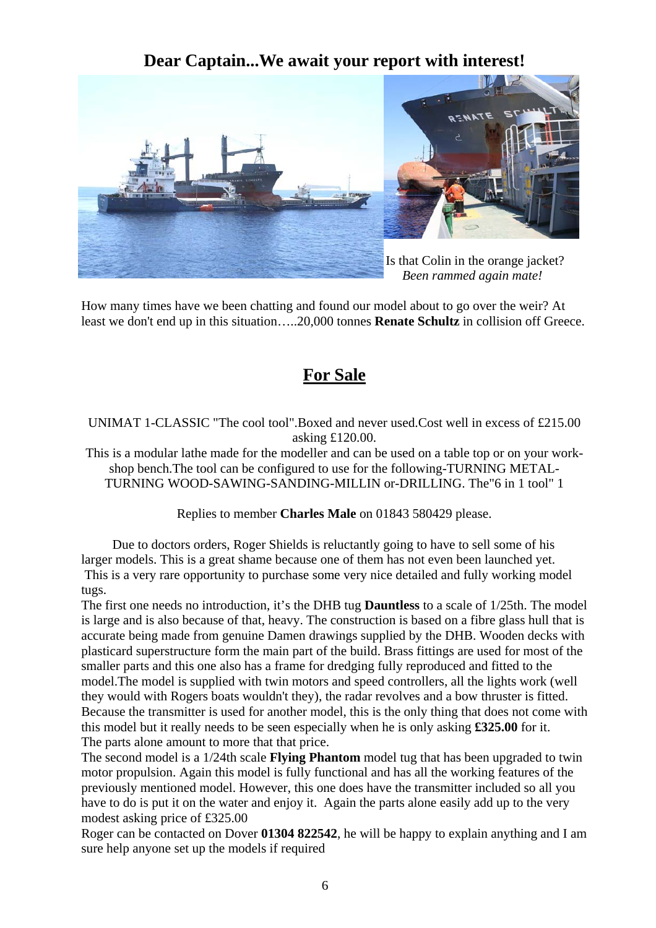# **Dear Captain...We await your report with interest!**



How many times have we been chatting and found our model about to go over the weir? At least we don't end up in this situation…..20,000 tonnes **Renate Schultz** in collision off Greece.

# **For Sale**

UNIMAT 1-CLASSIC "The cool tool".Boxed and never used.Cost well in excess of £215.00 asking £120.00.

This is a modular lathe made for the modeller and can be used on a table top or on your workshop bench.The tool can be configured to use for the following-TURNING METAL-TURNING WOOD-SAWING-SANDING-MILLIN or-DRILLING. The"6 in 1 tool" 1

Replies to member **Charles Male** on 01843 580429 please.

 Due to doctors orders, Roger Shields is reluctantly going to have to sell some of his larger models. This is a great shame because one of them has not even been launched yet. This is a very rare opportunity to purchase some very nice detailed and fully working model tugs.

The first one needs no introduction, it's the DHB tug **Dauntless** to a scale of 1/25th. The model is large and is also because of that, heavy. The construction is based on a fibre glass hull that is accurate being made from genuine Damen drawings supplied by the DHB. Wooden decks with plasticard superstructure form the main part of the build. Brass fittings are used for most of the smaller parts and this one also has a frame for dredging fully reproduced and fitted to the model.The model is supplied with twin motors and speed controllers, all the lights work (well they would with Rogers boats wouldn't they), the radar revolves and a bow thruster is fitted. Because the transmitter is used for another model, this is the only thing that does not come with this model but it really needs to be seen especially when he is only asking **£325.00** for it. The parts alone amount to more that that price.

The second model is a 1/24th scale **Flying Phantom** model tug that has been upgraded to twin motor propulsion. Again this model is fully functional and has all the working features of the previously mentioned model. However, this one does have the transmitter included so all you have to do is put it on the water and enjoy it. Again the parts alone easily add up to the very modest asking price of £325.00

Roger can be contacted on Dover **01304 822542**, he will be happy to explain anything and I am sure help anyone set up the models if required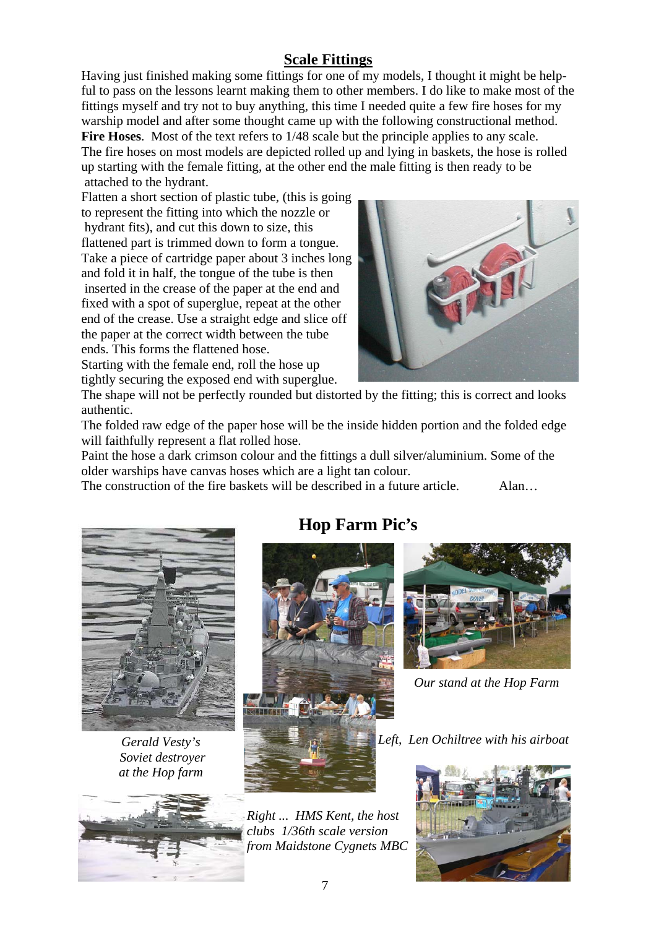# **Scale Fittings**

Having just finished making some fittings for one of my models, I thought it might be helpful to pass on the lessons learnt making them to other members. I do like to make most of the fittings myself and try not to buy anything, this time I needed quite a few fire hoses for my warship model and after some thought came up with the following constructional method. Fire Hoses. Most of the text refers to  $1/48$  scale but the principle applies to any scale.

The fire hoses on most models are depicted rolled up and lying in baskets, the hose is rolled up starting with the female fitting, at the other end the male fitting is then ready to be attached to the hydrant.

Flatten a short section of plastic tube, (this is going to represent the fitting into which the nozzle or hydrant fits), and cut this down to size, this flattened part is trimmed down to form a tongue. Take a piece of cartridge paper about 3 inches long and fold it in half, the tongue of the tube is then inserted in the crease of the paper at the end and fixed with a spot of superglue, repeat at the other end of the crease. Use a straight edge and slice off the paper at the correct width between the tube ends. This forms the flattened hose. Starting with the female end, roll the hose up

tightly securing the exposed end with superglue.



The shape will not be perfectly rounded but distorted by the fitting; this is correct and looks authentic.

The folded raw edge of the paper hose will be the inside hidden portion and the folded edge will faithfully represent a flat rolled hose.

Paint the hose a dark crimson colour and the fittings a dull silver/aluminium. Some of the older warships have canvas hoses which are a light tan colour.

The construction of the fire baskets will be described in a future article. Alan…



*Gerald Vesty's Soviet destroyer at the Hop farm* 



# **Hop Farm Pic's**



*Right ... HMS Kent, the host clubs 1/36th scale version from Maidstone Cygnets MBC* 



*Our stand at the Hop Farm* 

*Left, Len Ochiltree with his airboat*